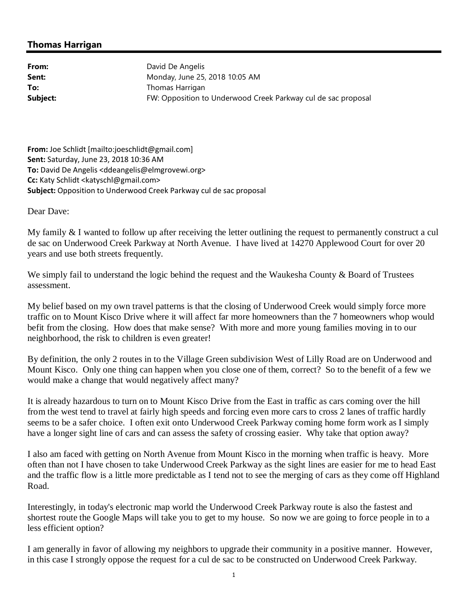## **Thomas Harrigan**

From: David De Angelis **Sent:** Monday, June 25, 2018 10:05 AM **To:** Thomas Harrigan **Subject:** FW: Opposition to Underwood Creek Parkway cul de sac proposal

**From:** Joe Schlidt [mailto:joeschlidt@gmail.com] **Sent:** Saturday, June 23, 2018 10:36 AM **To:** David De Angelis <ddeangelis@elmgrovewi.org> **Cc:** Katy Schlidt <katyschl@gmail.com> **Subject:** Opposition to Underwood Creek Parkway cul de sac proposal

Dear Dave:

My family & I wanted to follow up after receiving the letter outlining the request to permanently construct a cul de sac on Underwood Creek Parkway at North Avenue. I have lived at 14270 Applewood Court for over 20 years and use both streets frequently.

We simply fail to understand the logic behind the request and the Waukesha County  $\&$  Board of Trustees assessment.

My belief based on my own travel patterns is that the closing of Underwood Creek would simply force more traffic on to Mount Kisco Drive where it will affect far more homeowners than the 7 homeowners whop would befit from the closing. How does that make sense? With more and more young families moving in to our neighborhood, the risk to children is even greater!

By definition, the only 2 routes in to the Village Green subdivision West of Lilly Road are on Underwood and Mount Kisco. Only one thing can happen when you close one of them, correct? So to the benefit of a few we would make a change that would negatively affect many?

It is already hazardous to turn on to Mount Kisco Drive from the East in traffic as cars coming over the hill from the west tend to travel at fairly high speeds and forcing even more cars to cross 2 lanes of traffic hardly seems to be a safer choice. I often exit onto Underwood Creek Parkway coming home form work as I simply have a longer sight line of cars and can assess the safety of crossing easier. Why take that option away?

I also am faced with getting on North Avenue from Mount Kisco in the morning when traffic is heavy. More often than not I have chosen to take Underwood Creek Parkway as the sight lines are easier for me to head East and the traffic flow is a little more predictable as I tend not to see the merging of cars as they come off Highland Road.

Interestingly, in today's electronic map world the Underwood Creek Parkway route is also the fastest and shortest route the Google Maps will take you to get to my house. So now we are going to force people in to a less efficient option?

I am generally in favor of allowing my neighbors to upgrade their community in a positive manner. However, in this case I strongly oppose the request for a cul de sac to be constructed on Underwood Creek Parkway.